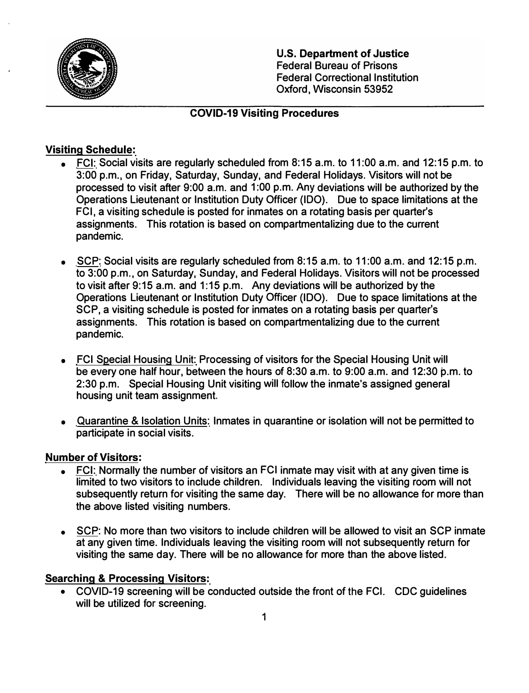

**U.S. Department of Justice**  Federal Bureau of Prisons Federal Correctional Institution Oxford, Wisconsin 53952

#### **COVID-19 Visiting Procedures**

### **Visiting Schedule:**

- FCI: Social visits are regularly scheduled from 8:15 a.m. to 11 :00 a.m. and 12:15 p.m. to 3:00 p.m., on Friday, Saturday, Sunday, and Federal Holidays. Visitors will not be processed to visit after 9:00 a.m. and 1 :00 p.m. Any deviations will be authorized by the Operations Lieutenant or Institution Duty Officer (IDO). Due to space limitations at the FCI, a visiting schedule is posted for inmates on a rotating basis per quarter's assignments. This rotation is based on compartmentalizing due to the current pandemic.
- SCP: Social visits are regularly scheduled from 8: 15 a.m. to 11 :00 a.m. and 12: 15 p.m. to 3:00 p.m., on Saturday, Sunday, and Federal Holidays. Visitors will not be processed to visit after 9: 15 a.m. and 1: 15 p.m. Any deviations will be authorized by the Operations Lieutenant or Institution Duty Officer (IDO). Due to space limitations at the SCP, a visiting schedule is posted for inmates on a rotating basis per quarter's assignments. This rotation is based on compartmentalizing due to the current pandemic.
- FCI Special Housing Unit: Processing of visitors for the Special Housing Unit will be every one half hour, between the hours of 8:30 a.m. to 9:00 a.m. and 12:30 p.m. to 2:30 p.m. Special Housing Unit visiting will follow the inmate's assigned general housing unit team assignment.
- Quarantine & Isolation Units: Inmates in quarantine or isolation **will** not be permitted to participate in social visits.

#### **Number of Visitors:**

- FCI: Normally the number of visitors an FCI inmate may visit with at any given time is limited to two visitors to include children. Individuals leaving the visiting room will not subsequently return for visiting the same day. There will be no allowance for more than the above listed visiting numbers.
- SCP: No more than two visitors to include children will be allowed to visit an SCP inmate at any given time. Individuals leaving the visiting room will not subsequently return for visiting the same day. There will be no allowance for more than the above listed.

#### **Searching & Processing Visitors:**

• COVID-19 screening will be conducted outside the front of the FCI. CDC guidelines will be utilized for screening.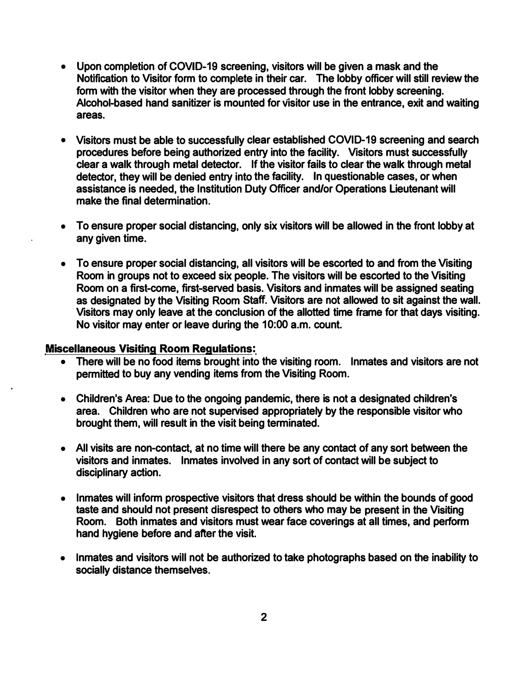- Upon completion of COVID-19 screening, visitors will be given a mask and the **Notification to Visitor form to complete in their car. The lobby officer will still review the** form with the visitor when they are processed through the front lobby screening. **Alcohol-based hand sanitizer is mounted for visitor use in the entrance, exit and waiting areas.**
- **• Visitors must be able to successfully clear established COVID-19 screening and search procedures before being authorized entry into the facility. Visitors must successfully clear a walk through metal detector. If the visitor fails to clear the walk through metal detector, they will be denied entry into the facility. In questionable cases, or when assistance is needed, the Institution Duty Officer and/or Operations Lieutenant will make the final determination.**
- **• To ensure proper social distancing, only six visitors will be allowed in the front lobby at any given time.**
- **• To ensure proper social distancing, all visitors will be escorted to and from the Visiting Room in groups not to exceed six people. The visitors will be escorted to the Visiting Room on a first-come, first-served basis. Visitors and inmates will be assigned seating as designated by the Visiting Room Staff. Visitors are not allowed to sit against the wall. Visitors may only leave at the conclusion of the allotted time frame for that days visiting. No visitor may enter or leave during the 10:00 a.m. count.**

#### **Miscellaneous Visiting Room Regulations:**

- **• There will be no food items brought into the visiting room. Inmates and visitors are not permitted to buy any vending items from the Visiting Room.**
- **• Children's Area: Due to the ongoing pandemic, there is not a designated children's area. Children who are not supervised appropriately by the responsible visitor who brought them, will result in the visit being terminated.**
- **• All visits are non-contact, at no time will there be any contact of any sort between the visitors and inmates. Inmates involved in any sort of contact will be subject to disciplinary action.**
- **• Inmates will inform prospective visitors that dress should be within the bounds of good taste and should not present disrespect to others who may be present in the Visiting Room. Both inmates and visitors must wear face coverings at all times, and perform hand hygiene before and after the visit.**
- **• Inmates and visitors will not be authorized to take photographs based on the inability to socially distance themselves.**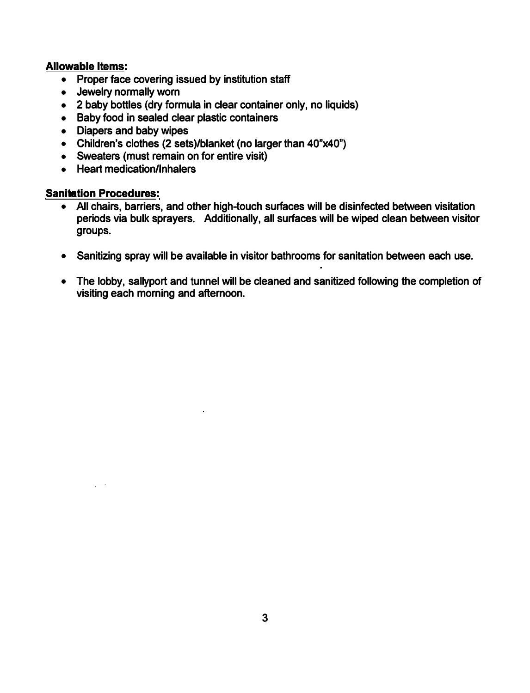#### **Allowable Items:**

- **• Proper face covering issued by institution staff**
- **• Jewelry normally worn**
- **• 2 baby bottles (dry formula in clear container only, no liquids)**
- **• Baby food in sealed clear plastic containers**
- **• Diapers and baby wipes**
- Children's clothes (2 sets)/blanket (no larger than 40"x40")
- **• Sweaters (must remain on for entire visit)**
- **• Heart medication/Inhalers**

#### **Sanitation Procedures:**

- **• All chairs, barriers, and other high-touch surfaces will be disinfected between visitation periods via bulk sprayers. Additionally, all surfaces will be wiped clean between visitor groups.**
- **• Sanitizing spray will be available in visitor bathrooms for sanitation between each use.**
- **• The lobby, sallyport and tunnel will be cleaned and sanitized following the completion of visiting each morning and afternoon.**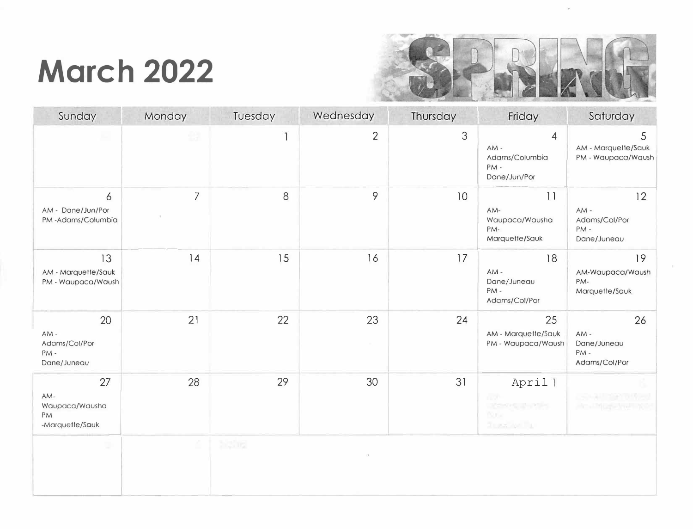## **March 2022**



| Sunday                                               | Monday         | Tuesday | Wednesday      | Thursday | Friday                                                               | Saturday                                         |
|------------------------------------------------------|----------------|---------|----------------|----------|----------------------------------------------------------------------|--------------------------------------------------|
|                                                      | £9             | 1       | $\overline{2}$ | 3        | $\overline{4}$<br>$AM -$<br>Adams/Columbia<br>PM-<br>Dane/Jun/Por    | 5<br>AM - Marquette/Sauk<br>PM - Waupaca/Waush   |
| 6<br>AM - Dane/Jun/Por<br>PM-Adams/Columbia          | $\overline{7}$ | 8       | 9              | 10       | 11<br>AM-<br>Waupaca/Wausha<br>PM-<br>Marquette/Sauk                 | 12<br>AM-<br>Adams/Col/Por<br>PM-<br>Dane/Juneau |
| 13<br>AM - Marquette/Sauk<br>PM - Waupaca/Waush      | 14             | 15      | 16             | 17       | 18<br>AM-<br>Dane/Juneau<br>PM-<br>Adams/Col/Por                     | 19<br>AM-Waupaca/Waush<br>PM-<br>Marquette/Sauk  |
| 20<br>AM-<br>Adams/Col/Por<br>PM-<br>Dane/Juneau     | 21             | 22      | 23             | 24       | 25<br>AM - Marquette/Sauk<br>PM - Waupaca/Waush                      | 26<br>AM-<br>Dane/Juneau<br>PM-<br>Adams/Col/Por |
| 27<br>AM-<br>Waupaca/Wausha<br>PM<br>-Marquette/Sauk | 28             | 29      | 30             | 31       | Aprill<br>n or<br><b>XOVE PIPE</b><br><b>Buck</b><br><b>TERRITOR</b> |                                                  |
| D                                                    | 4              | 233m    |                |          |                                                                      |                                                  |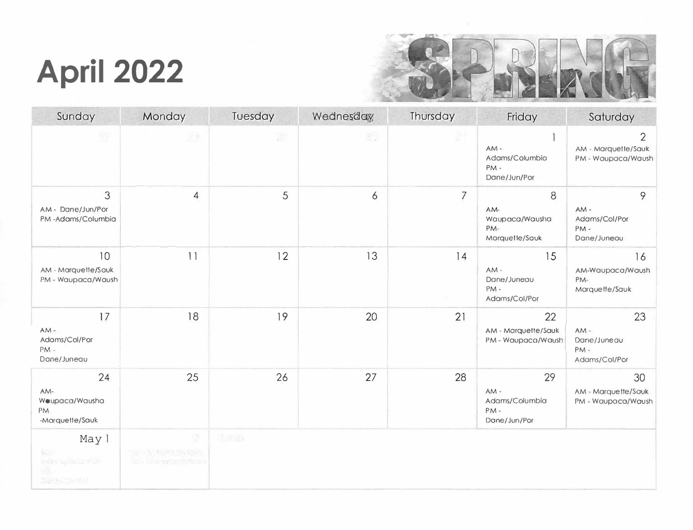# **April 2022**



| Sunday                                                 | Monday                                                 | Tuesday        | Wednesday, | Thursday | Friday                                              | Saturday                                                    |
|--------------------------------------------------------|--------------------------------------------------------|----------------|------------|----------|-----------------------------------------------------|-------------------------------------------------------------|
| 참                                                      | 监测                                                     | 濧              | 虳          | 24       | $AM -$<br>Adams/Columbia<br>PM-<br>Dane/Jun/Por     | $\overline{2}$<br>AM - Marquette/Sauk<br>PM - Waupaca/Waush |
| 3<br>AM - Dane/Jun/Por<br>PM-Adams/Columbia            | 4                                                      | 5              | 6          | 7        | 8<br>AM-<br>Waupaca/Wausha<br>PM-<br>Marquette/Sauk | 9<br>$AM -$<br>Adams/Col/Por<br>PM-<br>Dane/Juneau          |
| 10<br>AM - Marquette/Sauk<br>PM - Waupaca/Waush        | $  \cdot  $                                            | 12             | 13         | 14       | 15<br>$AM -$<br>Dane/Juneau<br>PM-<br>Adams/Col/Por | 16<br>AM-Waupaca/Waush<br>PM-<br>Marquette/Sauk             |
| 17<br>$AM -$<br>Adams/Col/Por<br>$PM -$<br>Dane/Juneau | 18                                                     | 19             | 20         | 21       | 22<br>AM - Marquette/Sauk<br>PM - Waupaca/Waush     | 23<br>$AM -$<br>Dane/Juneau<br>PM-<br>Adams/Col/Por         |
| 24<br>AM-<br>Weupaca/Wausha<br>PM<br>-Marquette/Sauk   | 25                                                     | 26             | 27         | 28       | 29<br>AM-<br>Adams/Columbia<br>PM-<br>Dane/Jun/Por  | 30<br>AM - Marquette/Sauk<br>PM - Waupaca/Waush             |
| Mayl<br>43<br>Safer spider pre-30<br>×<br>Sunsetzer    | P,<br>the Software Product<br><b>Basic Common Solo</b> | <b>Buildin</b> |            |          |                                                     |                                                             |